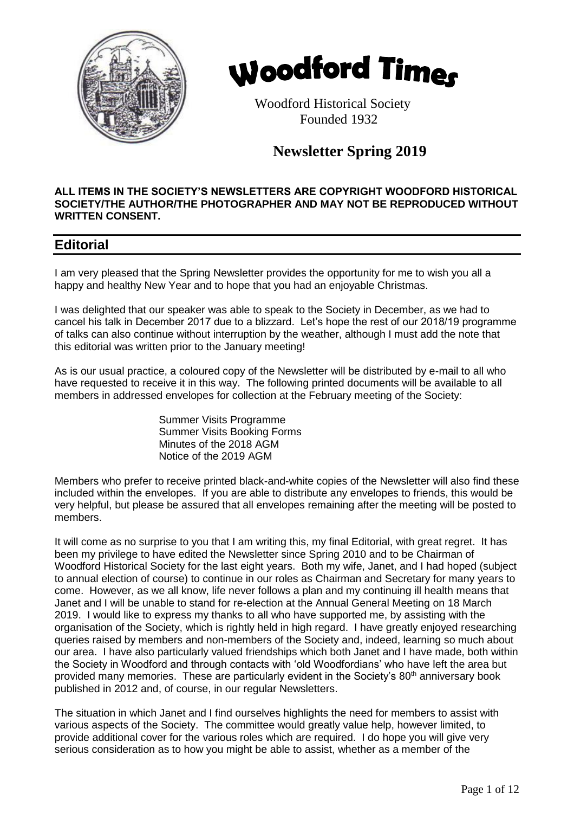



 Woodford Historical Society Founded 1932

# **Newsletter Spring 2019**

#### **ALL ITEMS IN THE SOCIETY'S NEWSLETTERS ARE COPYRIGHT WOODFORD HISTORICAL SOCIETY/THE AUTHOR/THE PHOTOGRAPHER AND MAY NOT BE REPRODUCED WITHOUT WRITTEN CONSENT.**

## **Editorial**

I am very pleased that the Spring Newsletter provides the opportunity for me to wish you all a happy and healthy New Year and to hope that you had an enjoyable Christmas.

I was delighted that our speaker was able to speak to the Society in December, as we had to cancel his talk in December 2017 due to a blizzard. Let's hope the rest of our 2018/19 programme of talks can also continue without interruption by the weather, although I must add the note that this editorial was written prior to the January meeting!

As is our usual practice, a coloured copy of the Newsletter will be distributed by e-mail to all who have requested to receive it in this way. The following printed documents will be available to all members in addressed envelopes for collection at the February meeting of the Society:

> Summer Visits Programme Summer Visits Booking Forms Minutes of the 2018 AGM Notice of the 2019 AGM

Members who prefer to receive printed black-and-white copies of the Newsletter will also find these included within the envelopes. If you are able to distribute any envelopes to friends, this would be very helpful, but please be assured that all envelopes remaining after the meeting will be posted to members.

It will come as no surprise to you that I am writing this, my final Editorial, with great regret. It has been my privilege to have edited the Newsletter since Spring 2010 and to be Chairman of Woodford Historical Society for the last eight years. Both my wife, Janet, and I had hoped (subject to annual election of course) to continue in our roles as Chairman and Secretary for many years to come. However, as we all know, life never follows a plan and my continuing ill health means that Janet and I will be unable to stand for re-election at the Annual General Meeting on 18 March 2019. I would like to express my thanks to all who have supported me, by assisting with the organisation of the Society, which is rightly held in high regard. I have greatly enjoyed researching queries raised by members and non-members of the Society and, indeed, learning so much about our area. I have also particularly valued friendships which both Janet and I have made, both within the Society in Woodford and through contacts with 'old Woodfordians' who have left the area but provided many memories. These are particularly evident in the Society's 80<sup>th</sup> anniversary book published in 2012 and, of course, in our regular Newsletters.

The situation in which Janet and I find ourselves highlights the need for members to assist with various aspects of the Society. The committee would greatly value help, however limited, to provide additional cover for the various roles which are required. I do hope you will give very serious consideration as to how you might be able to assist, whether as a member of the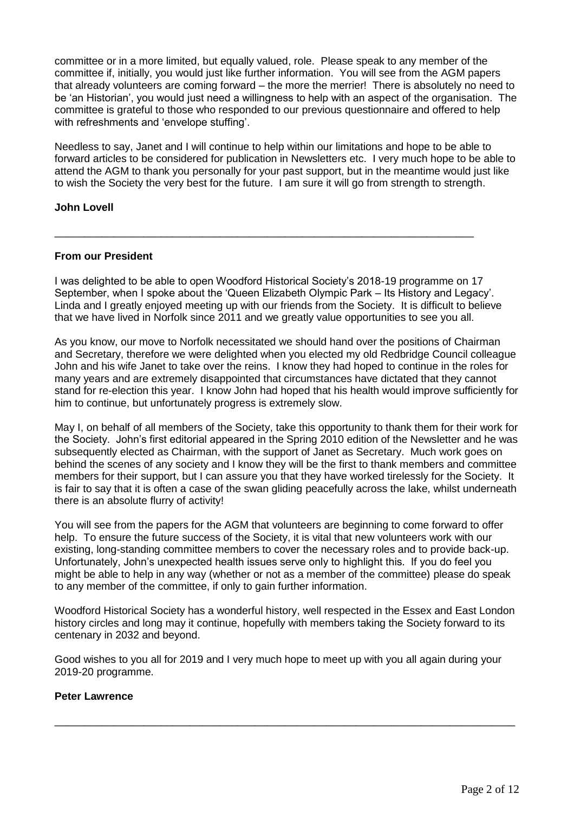committee or in a more limited, but equally valued, role. Please speak to any member of the committee if, initially, you would just like further information. You will see from the AGM papers that already volunteers are coming forward – the more the merrier! There is absolutely no need to be 'an Historian', you would just need a willingness to help with an aspect of the organisation. The committee is grateful to those who responded to our previous questionnaire and offered to help with refreshments and 'envelope stuffing'.

Needless to say, Janet and I will continue to help within our limitations and hope to be able to forward articles to be considered for publication in Newsletters etc. I very much hope to be able to attend the AGM to thank you personally for your past support, but in the meantime would just like to wish the Society the very best for the future. I am sure it will go from strength to strength.

## **John Lovell**

## **From our President**

I was delighted to be able to open Woodford Historical Society's 2018-19 programme on 17 September, when I spoke about the 'Queen Elizabeth Olympic Park – Its History and Legacy'. Linda and I greatly enjoyed meeting up with our friends from the Society. It is difficult to believe that we have lived in Norfolk since 2011 and we greatly value opportunities to see you all.

\_\_\_\_\_\_\_\_\_\_\_\_\_\_\_\_\_\_\_\_\_\_\_\_\_\_\_\_\_\_\_\_\_\_\_\_\_\_\_\_\_\_\_\_\_\_\_\_\_\_\_\_\_\_\_\_\_\_\_\_\_\_\_\_\_\_\_\_\_\_\_

As you know, our move to Norfolk necessitated we should hand over the positions of Chairman and Secretary, therefore we were delighted when you elected my old Redbridge Council colleague John and his wife Janet to take over the reins. I know they had hoped to continue in the roles for many years and are extremely disappointed that circumstances have dictated that they cannot stand for re-election this year. I know John had hoped that his health would improve sufficiently for him to continue, but unfortunately progress is extremely slow.

May I, on behalf of all members of the Society, take this opportunity to thank them for their work for the Society. John's first editorial appeared in the Spring 2010 edition of the Newsletter and he was subsequently elected as Chairman, with the support of Janet as Secretary. Much work goes on behind the scenes of any society and I know they will be the first to thank members and committee members for their support, but I can assure you that they have worked tirelessly for the Society. It is fair to say that it is often a case of the swan gliding peacefully across the lake, whilst underneath there is an absolute flurry of activity!

You will see from the papers for the AGM that volunteers are beginning to come forward to offer help. To ensure the future success of the Society, it is vital that new volunteers work with our existing, long-standing committee members to cover the necessary roles and to provide back-up. Unfortunately, John's unexpected health issues serve only to highlight this. If you do feel you might be able to help in any way (whether or not as a member of the committee) please do speak to any member of the committee, if only to gain further information.

Woodford Historical Society has a wonderful history, well respected in the Essex and East London history circles and long may it continue, hopefully with members taking the Society forward to its centenary in 2032 and beyond.

Good wishes to you all for 2019 and I very much hope to meet up with you all again during your 2019-20 programme.

\_\_\_\_\_\_\_\_\_\_\_\_\_\_\_\_\_\_\_\_\_\_\_\_\_\_\_\_\_\_\_\_\_\_\_\_\_\_\_\_\_\_\_\_\_\_\_\_\_\_\_\_\_\_\_\_\_\_\_\_\_\_\_\_\_\_\_\_\_\_\_\_\_\_\_\_\_\_

## **Peter Lawrence**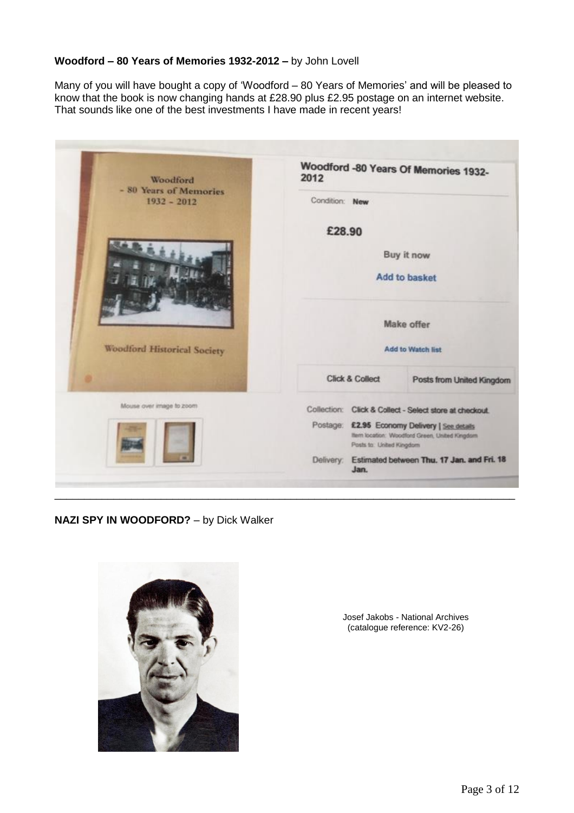## **Woodford – 80 Years of Memories 1932-2012 –** by John Lovell

Many of you will have bought a copy of 'Woodford – 80 Years of Memories' and will be pleased to know that the book is now changing hands at £28.90 plus £2.95 postage on an internet website. That sounds like one of the best investments I have made in recent years!

| Woodford<br>- 80 Years of Memories<br>$1932 - 2012$<br><b>Woodford Historical Society</b> | 2012                                                                                                                          |  | Woodford -80 Years Of Memories 1932-                    |
|-------------------------------------------------------------------------------------------|-------------------------------------------------------------------------------------------------------------------------------|--|---------------------------------------------------------|
|                                                                                           | Condition: New                                                                                                                |  |                                                         |
|                                                                                           | £28.90                                                                                                                        |  |                                                         |
|                                                                                           | Buy it now                                                                                                                    |  |                                                         |
|                                                                                           |                                                                                                                               |  | Add to basket                                           |
|                                                                                           | <b>Make offer</b><br>Add to Watch list                                                                                        |  |                                                         |
|                                                                                           |                                                                                                                               |  |                                                         |
| Mouse over image to zoom                                                                  |                                                                                                                               |  | Collection: Click & Collect - Select store at checkout. |
| <b>IS</b>                                                                                 | Postage:<br>£2.95 Economy Delivery   See details<br>Item location: Woodford Green, United Kingdom<br>Posts to: United Kingdom |  |                                                         |
|                                                                                           | Estimated between Thu. 17 Jan. and Fri. 18<br>Delivery:<br>Jan.                                                               |  |                                                         |

\_\_\_\_\_\_\_\_\_\_\_\_\_\_\_\_\_\_\_\_\_\_\_\_\_\_\_\_\_\_\_\_\_\_\_\_\_\_\_\_\_\_\_\_\_\_\_\_\_\_\_\_\_\_\_\_\_\_\_\_\_\_\_\_\_\_\_\_\_\_\_\_\_\_\_\_\_\_

## **NAZI SPY IN WOODFORD?** – by Dick Walker



Josef Jakobs - National Archives (catalogue reference: KV2-26)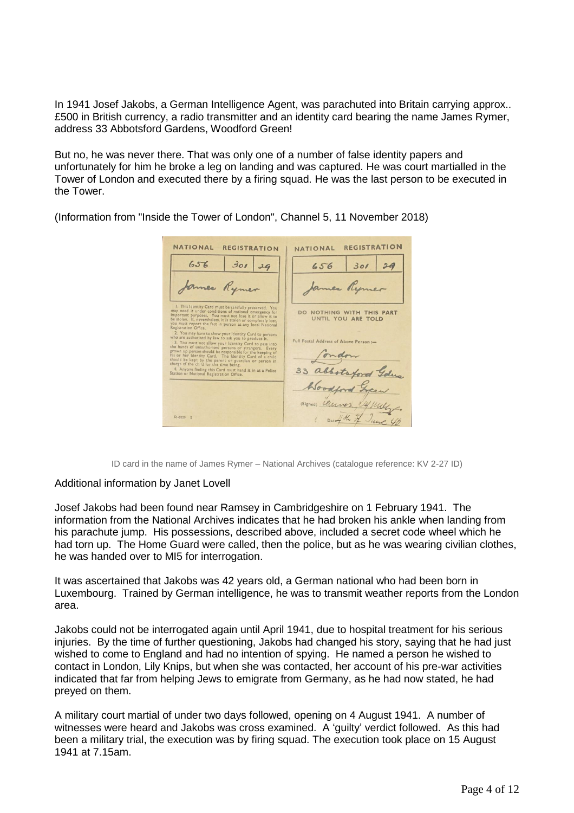In 1941 Josef Jakobs, a German Intelligence Agent, was parachuted into Britain carrying approx.. £500 in British currency, a radio transmitter and an identity card bearing the name James Rymer, address 33 Abbotsford Gardens, Woodford Green!

But no, he was never there. That was only one of a number of false identity papers and unfortunately for him he broke a leg on landing and was captured. He was court martialled in the Tower of London and executed there by a firing squad. He was the last person to be executed in the Tower.

| NATIONAL<br><b>REGISTRATION</b>                                                                                                                                                                                                                                                                                                                                                                               | <b>REGISTRATION</b><br>NATIONAL                     |
|---------------------------------------------------------------------------------------------------------------------------------------------------------------------------------------------------------------------------------------------------------------------------------------------------------------------------------------------------------------------------------------------------------------|-----------------------------------------------------|
| 30129<br>656                                                                                                                                                                                                                                                                                                                                                                                                  | 301<br>656                                          |
| James Rymer                                                                                                                                                                                                                                                                                                                                                                                                   | James Rymer                                         |
| I. This Identity Card must be carefully preserved. You<br>may need it under conditions of national emergency for<br>important purposes. You must not lose it or allow it to<br>be stolen. If, nevertheless, it is stolen or completely lost.<br>you must report the fact in person at any local National<br>Registration Office.                                                                              | DO NOTHING WITH THIS PART<br>UNTIL YOU ARE TOLD     |
| 2. You may have to show your Identity Card to persons<br>who are authorised by law to ask you to produce it.<br>3. You must not allow your Identity Card to pass into<br>the hands of unauthorised persons or strangers. Every<br>grown up person should be responsible for the keeping of<br>his or her Identity Card. The Identity Card of a child<br>should be kept by the parent or guardian or person in | Full Postal Address of Above Person :-<br>fondom    |
| charge of the child for the time being.<br>4. Anyone finding this Card must hand it in at a Police<br>Station or National Registration Office.                                                                                                                                                                                                                                                                | 33 abbotsford Gdus                                  |
|                                                                                                                                                                                                                                                                                                                                                                                                               | Woodford Green                                      |
| $51 - 3120$ 2                                                                                                                                                                                                                                                                                                                                                                                                 | (Signed) Cleanes ly mill<br>1 Daredy the of June 46 |

(Information from "Inside the Tower of London", Channel 5, 11 November 2018)

ID card in the name of James Rymer – National Archives (catalogue reference: KV 2-27 ID)

## Additional information by Janet Lovell

Josef Jakobs had been found near Ramsey in Cambridgeshire on 1 February 1941. The information from the National Archives indicates that he had broken his ankle when landing from his parachute jump. His possessions, described above, included a secret code wheel which he had torn up. The Home Guard were called, then the police, but as he was wearing civilian clothes, he was handed over to MI5 for interrogation.

It was ascertained that Jakobs was 42 years old, a German national who had been born in Luxembourg. Trained by German intelligence, he was to transmit weather reports from the London area.

Jakobs could not be interrogated again until April 1941, due to hospital treatment for his serious injuries. By the time of further questioning, Jakobs had changed his story, saying that he had just wished to come to England and had no intention of spying. He named a person he wished to contact in London, Lily Knips, but when she was contacted, her account of his pre-war activities indicated that far from helping Jews to emigrate from Germany, as he had now stated, he had preyed on them.

A military court martial of under two days followed, opening on 4 August 1941. A number of witnesses were heard and Jakobs was cross examined. A 'guilty' verdict followed. As this had been a military trial, the execution was by firing squad. The execution took place on 15 August 1941 at 7.15am.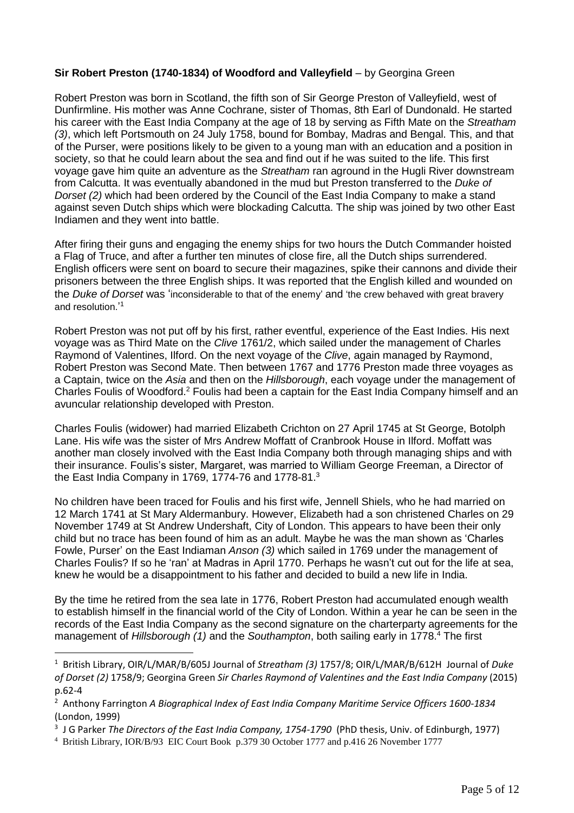## **Sir Robert Preston (1740-1834) of Woodford and Valleyfield** – by Georgina Green

Robert Preston was born in Scotland, the fifth son of Sir George Preston of Valleyfield, west of Dunfirmline. His mother was Anne Cochrane, sister of Thomas, 8th Earl of Dundonald. He started his career with the East India Company at the age of 18 by serving as Fifth Mate on the *Streatham (3)*, which left Portsmouth on 24 July 1758, bound for Bombay, Madras and Bengal. This, and that of the Purser, were positions likely to be given to a young man with an education and a position in society, so that he could learn about the sea and find out if he was suited to the life. This first voyage gave him quite an adventure as the *Streatham* ran aground in the Hugli River downstream from Calcutta. It was eventually abandoned in the mud but Preston transferred to the *Duke of Dorset (2)* which had been ordered by the Council of the East India Company to make a stand against seven Dutch ships which were blockading Calcutta. The ship was joined by two other East Indiamen and they went into battle.

After firing their guns and engaging the enemy ships for two hours the Dutch Commander hoisted a Flag of Truce, and after a further ten minutes of close fire, all the Dutch ships surrendered. English officers were sent on board to secure their magazines, spike their cannons and divide their prisoners between the three English ships. It was reported that the English killed and wounded on the *Duke of Dorset* was 'inconsiderable to that of the enemy' and 'the crew behaved with great bravery and resolution.' 1

Robert Preston was not put off by his first, rather eventful, experience of the East Indies. His next voyage was as Third Mate on the *Clive* 1761/2, which sailed under the management of Charles Raymond of Valentines, Ilford. On the next voyage of the *Clive*, again managed by Raymond, Robert Preston was Second Mate. Then between 1767 and 1776 Preston made three voyages as a Captain, twice on the *Asia* and then on the *Hillsborough*, each voyage under the management of Charles Foulis of Woodford.<sup>2</sup> Foulis had been a captain for the East India Company himself and an avuncular relationship developed with Preston.

Charles Foulis (widower) had married Elizabeth Crichton on 27 April 1745 at St George, Botolph Lane. His wife was the sister of Mrs Andrew Moffatt of Cranbrook House in Ilford. Moffatt was another man closely involved with the East India Company both through managing ships and with their insurance. Foulis's sister, Margaret, was married to William George Freeman, a Director of the East India Company in 1769, 1774-76 and 1778-81. $^3$ 

No children have been traced for Foulis and his first wife, Jennell Shiels, who he had married on 12 March 1741 at St Mary Aldermanbury. However, Elizabeth had a son christened Charles on 29 November 1749 at St Andrew Undershaft, City of London. This appears to have been their only child but no trace has been found of him as an adult. Maybe he was the man shown as 'Charles Fowle, Purser' on the East Indiaman *Anson (3)* which sailed in 1769 under the management of Charles Foulis? If so he 'ran' at Madras in April 1770. Perhaps he wasn't cut out for the life at sea, knew he would be a disappointment to his father and decided to build a new life in India.

By the time he retired from the sea late in 1776, Robert Preston had accumulated enough wealth to establish himself in the financial world of the City of London. Within a year he can be seen in the records of the East India Company as the second signature on the charterparty agreements for the management of *Hillsborough (1)* and the *Southampton*, both sailing early in 1778.<sup>4</sup> The first

<sup>1</sup> British Library, OIR/L/MAR/B/605J Journal of *Streatham (3)* 1757/8; OIR/L/MAR/B/612H Journal of *Duke of Dorset (2)* 1758/9; Georgina Green *Sir Charles Raymond of Valentines and the East India Company* (2015) p.62-4

<sup>2</sup> Anthony Farrington *A Biographical Index of East India Company Maritime Service Officers 1600-1834* (London, 1999)

<sup>3</sup> J G Parker *The Directors of the East India Company, 1754-1790* (PhD thesis, Univ. of Edinburgh, 1977)

<sup>4</sup> British Library, IOR/B/93 EIC Court Book p.379 30 October 1777 and p.416 26 November 1777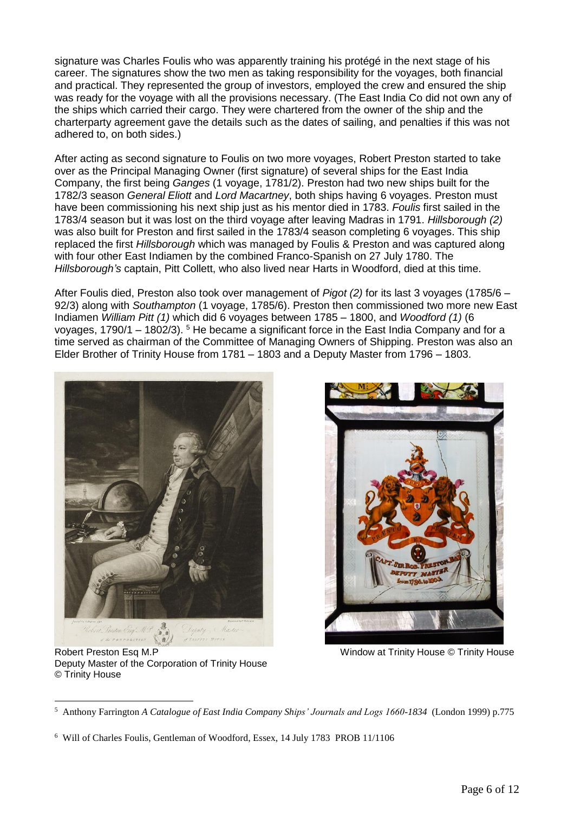signature was Charles Foulis who was apparently training his protégé in the next stage of his career. The signatures show the two men as taking responsibility for the voyages, both financial and practical. They represented the group of investors, employed the crew and ensured the ship was ready for the voyage with all the provisions necessary. (The East India Co did not own any of the ships which carried their cargo. They were chartered from the owner of the ship and the charterparty agreement gave the details such as the dates of sailing, and penalties if this was not adhered to, on both sides.)

After acting as second signature to Foulis on two more voyages, Robert Preston started to take over as the Principal Managing Owner (first signature) of several ships for the East India Company, the first being *Ganges* (1 voyage, 1781/2). Preston had two new ships built for the 1782/3 season *General Eliott* and *Lord Macartney*, both ships having 6 voyages. Preston must have been commissioning his next ship just as his mentor died in 1783. *Foulis* first sailed in the 1783/4 season but it was lost on the third voyage after leaving Madras in 1791. *Hillsborough (2)* was also built for Preston and first sailed in the 1783/4 season completing 6 voyages. This ship replaced the first *Hillsborough* which was managed by Foulis & Preston and was captured along with four other East Indiamen by the combined Franco-Spanish on 27 July 1780. The *Hillsborough's* captain, Pitt Collett, who also lived near Harts in Woodford, died at this time.

After Foulis died, Preston also took over management of *Pigot (2)* for its last 3 voyages (1785/6 – 92/3) along with *Southampton* (1 voyage, 1785/6). Preston then commissioned two more new East Indiamen *William Pitt (1)* which did 6 voyages between 1785 – 1800, and *Woodford (1)* (6 voyages, 1790/1 – 1802/3). <sup>5</sup> He became a significant force in the East India Company and for a time served as chairman of the Committee of Managing Owners of Shipping. Preston was also an Elder Brother of Trinity House from 1781 – 1803 and a Deputy Master from 1796 – 1803.



Robert Preston Esq M.P Window at Trinity House © Trinity House Deputy Master of the Corporation of Trinity House © Trinity House

 $\overline{a}$ 5 Anthony Farrington *A Catalogue of East India Company Ships' Journals and Logs 1660-1834* (London 1999) p.775

<sup>6</sup> Will of Charles Foulis, Gentleman of Woodford, Essex, 14 July 1783 PROB 11/1106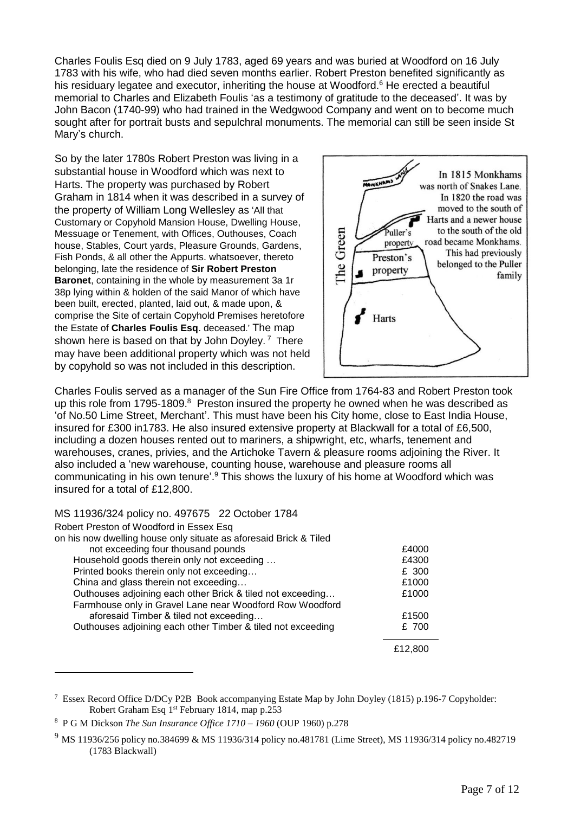Charles Foulis Esq died on 9 July 1783, aged 69 years and was buried at Woodford on 16 July 1783 with his wife, who had died seven months earlier. Robert Preston benefited significantly as his residuary legatee and executor, inheriting the house at Woodford.<sup>6</sup> He erected a beautiful memorial to Charles and Elizabeth Foulis 'as a testimony of gratitude to the deceased'. It was by John Bacon (1740-99) who had trained in the Wedgwood Company and went on to become much sought after for portrait busts and sepulchral monuments. The memorial can still be seen inside St Mary's church.

So by the later 1780s Robert Preston was living in a substantial house in Woodford which was next to Harts. The property was purchased by Robert Graham in 1814 when it was described in a survey of the property of William Long Wellesley as 'All that Customary or Copyhold Mansion House, Dwelling House, Messuage or Tenement, with Offices, Outhouses, Coach house, Stables, Court yards, Pleasure Grounds, Gardens, Fish Ponds, & all other the Appurts. whatsoever, thereto belonging, late the residence of **Sir Robert Preston Baronet**, containing in the whole by measurement 3a 1r 38p lying within & holden of the said Manor of which have been built, erected, planted, laid out, & made upon, & comprise the Site of certain Copyhold Premises heretofore the Estate of **Charles Foulis Esq**. deceased.' The map shown here is based on that by John Doyley. <sup>7</sup> There may have been additional property which was not held by copyhold so was not included in this description.



Charles Foulis served as a manager of the Sun Fire Office from 1764-83 and Robert Preston took up this role from 1795-1809. $8$  Preston insured the property he owned when he was described as 'of No.50 Lime Street, Merchant'. This must have been his City home, close to East India House, insured for £300 in1783. He also insured extensive property at Blackwall for a total of £6,500, including a dozen houses rented out to mariners, a shipwright, etc, wharfs, tenement and warehouses, cranes, privies, and the Artichoke Tavern & pleasure rooms adjoining the River. It also included a 'new warehouse, counting house, warehouse and pleasure rooms all communicating in his own tenure'.<sup>9</sup> This shows the luxury of his home at Woodford which was insured for a total of £12,800.

MS 11936/324 policy no. 497675 22 October 1784

| Robert Preston of Woodford in Essex Esq                           |         |
|-------------------------------------------------------------------|---------|
| on his now dwelling house only situate as aforesaid Brick & Tiled |         |
| not exceeding four thousand pounds                                | £4000   |
| Household goods therein only not exceeding                        | £4300   |
| Printed books therein only not exceeding                          | £ 300   |
| China and glass therein not exceeding                             | £1000   |
| Outhouses adjoining each other Brick & tiled not exceeding        | £1000   |
| Farmhouse only in Gravel Lane near Woodford Row Woodford          |         |
| aforesaid Timber & tiled not exceeding                            | £1500   |
| Outhouses adjoining each other Timber & tiled not exceeding       | £ 700   |
|                                                                   | £12.800 |

<sup>&</sup>lt;sup>7</sup> Essex Record Office D/DCy P2B Book accompanying Estate Map by John Doyley (1815) p.196-7 Copyholder: Robert Graham Esq 1<sup>st</sup> February 1814, map p.253

<sup>8</sup> P G M Dickson *The Sun Insurance Office 1710 – 1960* (OUP 1960) p.278

<sup>9</sup> MS 11936/256 policy no.384699 & MS 11936/314 policy no.481781 (Lime Street), MS 11936/314 policy no.482719 (1783 Blackwall)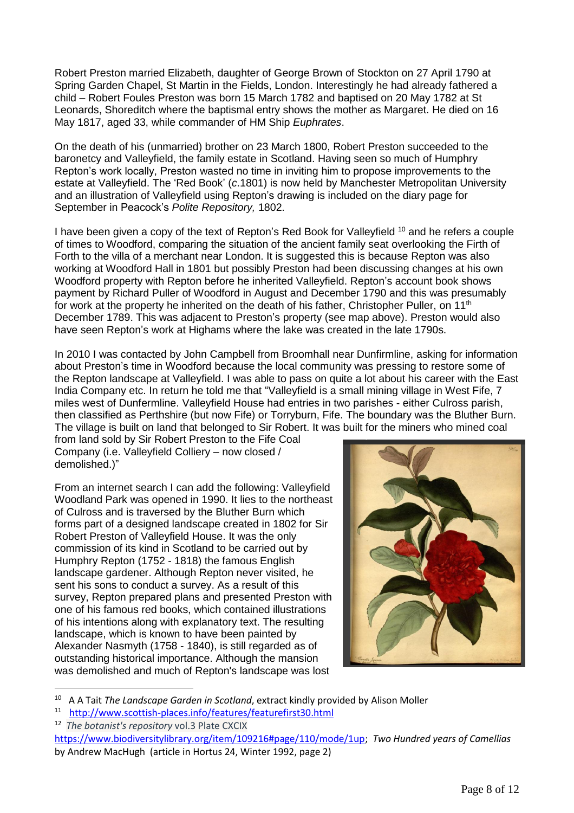Robert Preston married Elizabeth, daughter of George Brown of Stockton on 27 April 1790 at Spring Garden Chapel, St Martin in the Fields, London. Interestingly he had already fathered a child – Robert Foules Preston was born 15 March 1782 and baptised on 20 May 1782 at St Leonards, Shoreditch where the baptismal entry shows the mother as Margaret. He died on 16 May 1817, aged 33, while commander of HM Ship *Euphrates*.

On the death of his (unmarried) brother on 23 March 1800, Robert Preston succeeded to the baronetcy and Valleyfield, the family estate in Scotland. Having seen so much of Humphry Repton's work locally, Preston wasted no time in inviting him to propose improvements to the estate at Valleyfield. The 'Red Book' (*c*.1801) is now held by Manchester Metropolitan University and an illustration of Valleyfield using Repton's drawing is included on the diary page for September in Peacock's *Polite Repository,* 1802.

I have been given a copy of the text of Repton's Red Book for Valleyfield <sup>10</sup> and he refers a couple of times to Woodford, comparing the situation of the ancient family seat overlooking the Firth of Forth to the villa of a merchant near London. It is suggested this is because Repton was also working at Woodford Hall in 1801 but possibly Preston had been discussing changes at his own Woodford property with Repton before he inherited Valleyfield. Repton's account book shows payment by Richard Puller of Woodford in August and December 1790 and this was presumably for work at the property he inherited on the death of his father, Christopher Puller, on 11<sup>th</sup> December 1789. This was adjacent to Preston's property (see map above). Preston would also have seen Repton's work at Highams where the lake was created in the late 1790s.

In 2010 I was contacted by John Campbell from Broomhall near Dunfirmline, asking for information about Preston's time in Woodford because the local community was pressing to restore some of the Repton landscape at Valleyfield. I was able to pass on quite a lot about his career with the East India Company etc. In return he told me that "Valleyfield is a small mining village in West Fife, 7 miles west of Dunfermline. Valleyfield House had entries in two parishes - either Culross parish, then classified as Perthshire (but now Fife) or Torryburn, Fife. The boundary was the Bluther Burn. The village is built on land that belonged to Sir Robert. It was built for the miners who mined coal

from land sold by Sir Robert Preston to the Fife Coal Company (i.e. Valleyfield Colliery – now closed / demolished.)"

From an internet search I can add the following: Valleyfield Woodland Park was opened in 1990. It lies to the northeast of [Culross](http://www.scottish-places.info/towns/townfirst74.html) and is traversed by the Bluther Burn which forms part of a designed landscape created in 1802 for [Sir](http://www.scottish-places.info/people/famousfirst32.html)  [Robert Preston](http://www.scottish-places.info/people/famousfirst32.html) of Valleyfield House. It was the only commission of its kind in Scotland to be carried out by Humphry Repton (1752 - 1818) the famous English landscape gardener. Although Repton never visited, he sent his sons to conduct a survey. As a result of this survey, Repton prepared plans and presented [Preston](http://www.scottish-places.info/people/famousfirst32.html) with one of his famous red books, which contained illustrations of his intentions along with explanatory text. The resulting landscape, which is known to have been painted by Alexander Nasmyth (1758 - 1840), is still regarded as of outstanding historical importance. Although the mansion was demolished and much of Repton's landscape was lost



<sup>10</sup> A A Tait *The Landscape Garden in Scotland*, extract kindly provided by Alison Moller

<sup>11</sup> <http://www.scottish-places.info/features/featurefirst30.html>

<sup>12</sup> *The botanist's repository* vol.3 Plate CXCIX [https://www.biodiversitylibrary.org/item/109216#page/110/mode/1up;](https://www.biodiversitylibrary.org/item/109216#page/110/mode/1up) *Two Hundred years of Camellias* by Andrew MacHugh (article in Hortus 24, Winter 1992, page 2)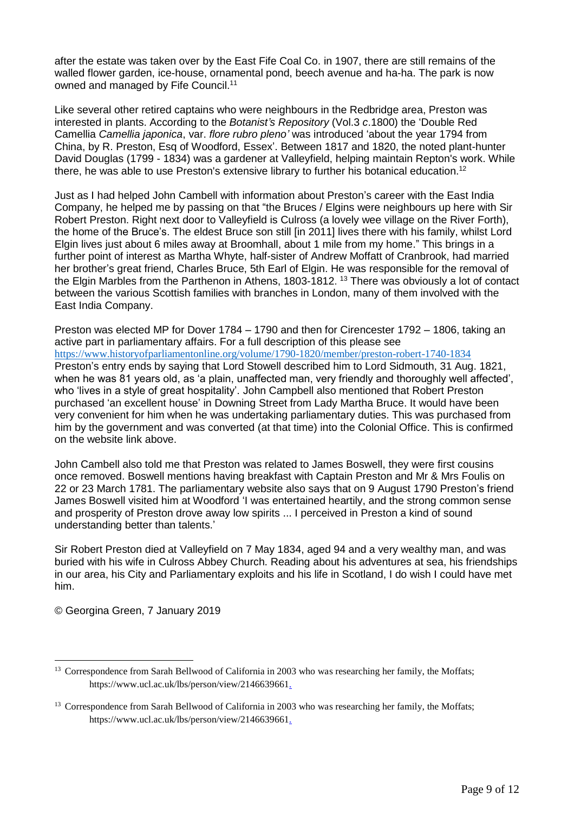after the estate was taken over by the East Fife Coal Co. in 1907, there are still remains of the walled flower garden, ice-house, ornamental pond, beech avenue and ha-ha. The park is now owned and managed by Fife Council. 11

Like several other retired captains who were neighbours in the Redbridge area, Preston was interested in plants. According to the *Botanist's Repository* (Vol.3 *c*.1800) the 'Double Red Camellia *Camellia japonica*, var. *flore rubro pleno'* was introduced 'about the year 1794 from China, by R. Preston, Esq of Woodford, Essex'. Between 1817 and 1820, the noted plant-hunter [David Douglas](http://www.scottish-places.info/people/famousfirst130.html) (1799 - 1834) was a gardener at [Valleyfield,](http://www.scottish-places.info/towns/townfirst2581.html) helping maintain Repton's work. While there, he was able to use [Preston's](http://www.scottish-places.info/people/famousfirst32.html) extensive library to further his botanical education.<sup>12</sup>

Just as I had helped John Cambell with information about Preston's career with the East India Company, he helped me by passing on that "the Bruces / Elgins were neighbours up here with Sir Robert Preston. Right next door to Valleyfield is Culross (a lovely wee village on the River Forth), the home of the Bruce's. The eldest Bruce son still [in 2011] lives there with his family, whilst Lord Elgin lives just about 6 miles away at Broomhall, about 1 mile from my home." This brings in a further point of interest as Martha Whyte, half-sister of Andrew Moffatt of Cranbrook, had married her brother's great friend, Charles Bruce, 5th Earl of Elgin. He was responsible for the removal of the Elgin Marbles from the Parthenon in Athens, 1803-1812. <sup>13</sup> There was obviously a lot of contact between the various Scottish families with branches in London, many of them involved with the East India Company.

Preston was elected MP for Dover 1784 – 1790 and then for Cirencester 1792 – 1806, taking an active part in parliamentary affairs. For a full description of this please see <https://www.historyofparliamentonline.org/volume/1790-1820/member/preston-robert-1740-1834> Preston's entry ends by saying that Lord Stowell described him to Lord Sidmouth, 31 Aug. 1821, when he was 81 years old, as 'a plain, unaffected man, very friendly and thoroughly well affected', who 'lives in a style of great hospitality'. John Campbell also mentioned that Robert Preston purchased 'an excellent house' in Downing Street from Lady Martha Bruce. It would have been very convenient for him when he was undertaking parliamentary duties. This was purchased from him by the government and was converted (at that time) into the Colonial Office. This is confirmed on the website link above.

John Cambell also told me that Preston was related to James Boswell, they were first cousins once removed. Boswell mentions having breakfast with Captain Preston and Mr & Mrs Foulis on 22 or 23 March 1781. The parliamentary website also says that on 9 August 1790 Preston's friend James Boswell visited him at Woodford 'I was entertained heartily, and the strong common sense and prosperity of Preston drove away low spirits ... I perceived in Preston a kind of sound understanding better than talents.'

Sir Robert Preston died at Valleyfield on 7 May 1834, aged 94 and a very wealthy man, and was buried with his wife in Culross Abbey Church. Reading about his adventures at sea, his friendships in our area, his City and Parliamentary exploits and his life in Scotland, I do wish I could have met him.

© Georgina Green, 7 January 2019

<sup>&</sup>lt;sup>13</sup> Correspondence from Sarah Bellwood of California in 2003 who was researching her family, the Moffats; https://www.ucl.ac.uk/lbs/person/view/214663966[1.](https://www.biodiversitylibrary.org/item/109216#page/110/mode/1up)

<sup>&</sup>lt;sup>13</sup> Correspondence from Sarah Bellwood of California in 2003 who was researching her family, the Moffats; https://www.ucl.ac.uk/lbs/person/view/2146639661.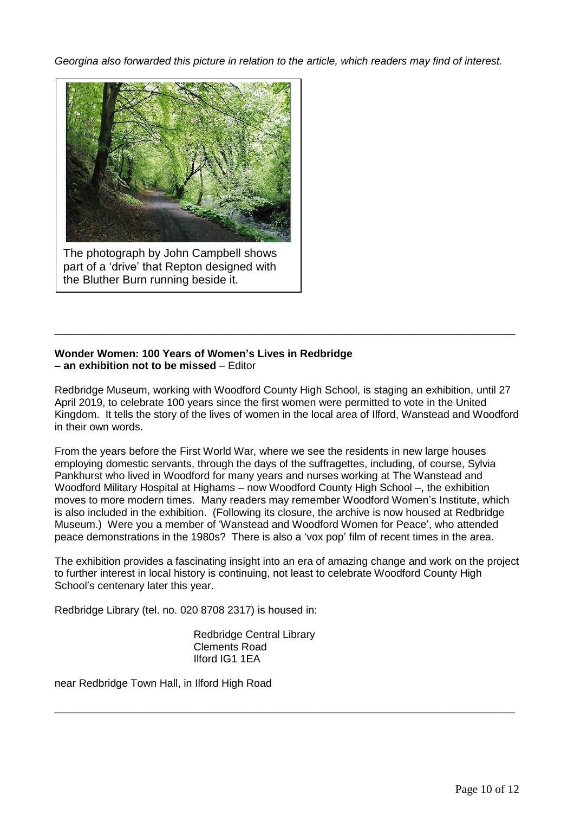*Georgina also forwarded this picture in relation to the article, which readers may find of interest.*



The photograph by John Campbell shows part of a 'drive' that Repton designed with the Bluther Burn running beside it.

## **Wonder Women: 100 Years of Women's Lives in Redbridge – an exhibition not to be missed** – Editor

Redbridge Museum, working with Woodford County High School, is staging an exhibition, until 27 April 2019, to celebrate 100 years since the first women were permitted to vote in the United Kingdom. It tells the story of the lives of women in the local area of Ilford, Wanstead and Woodford in their own words.

\_\_\_\_\_\_\_\_\_\_\_\_\_\_\_\_\_\_\_\_\_\_\_\_\_\_\_\_\_\_\_\_\_\_\_\_\_\_\_\_\_\_\_\_\_\_\_\_\_\_\_\_\_\_\_\_\_\_\_\_\_\_\_\_\_\_\_\_\_\_\_\_\_\_\_\_\_\_

From the years before the First World War, where we see the residents in new large houses employing domestic servants, through the days of the suffragettes, including, of course, Sylvia Pankhurst who lived in Woodford for many years and nurses working at The Wanstead and Woodford Military Hospital at Highams – now Woodford County High School –, the exhibition moves to more modern times. Many readers may remember Woodford Women's Institute, which is also included in the exhibition. (Following its closure, the archive is now housed at Redbridge Museum.) Were you a member of 'Wanstead and Woodford Women for Peace', who attended peace demonstrations in the 1980s? There is also a 'vox pop' film of recent times in the area.

The exhibition provides a fascinating insight into an era of amazing change and work on the project to further interest in local history is continuing, not least to celebrate Woodford County High School's centenary later this year.

\_\_\_\_\_\_\_\_\_\_\_\_\_\_\_\_\_\_\_\_\_\_\_\_\_\_\_\_\_\_\_\_\_\_\_\_\_\_\_\_\_\_\_\_\_\_\_\_\_\_\_\_\_\_\_\_\_\_\_\_\_\_\_\_\_\_\_\_\_\_\_\_\_\_\_\_\_\_

Redbridge Library (tel. no. 020 8708 2317) is housed in:

Redbridge Central Library Clements Road Ilford IG1 1EA

near Redbridge Town Hall, in Ilford High Road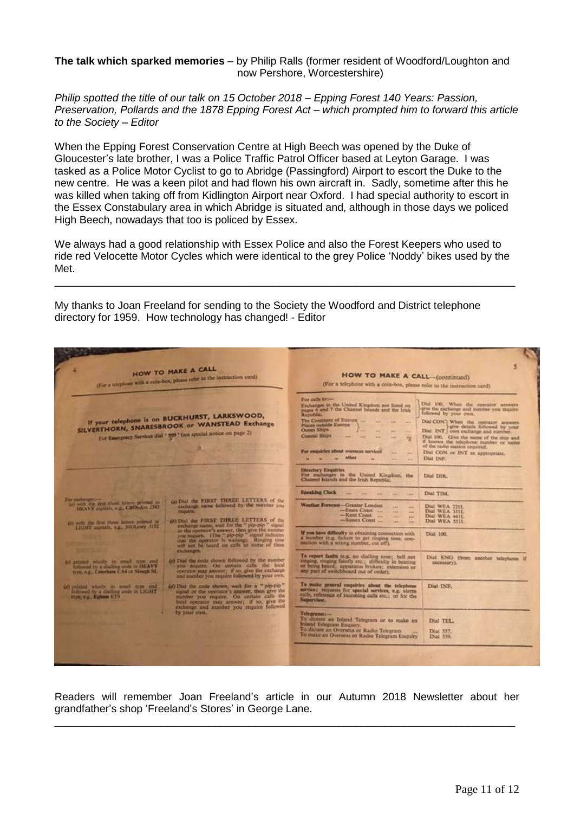#### **The talk which sparked memories** – by Philip Ralls (former resident of Woodford/Loughton and now Pershore, Worcestershire)

*Philip spotted the title of our talk on 15 October 2018 – Epping Forest 140 Years: Passion, Preservation, Pollards and the 1878 Epping Forest Act – which prompted him to forward this article to the Society – Editor*

When the Epping Forest Conservation Centre at High Beech was opened by the Duke of Gloucester's late brother, I was a Police Traffic Patrol Officer based at Leyton Garage. I was tasked as a Police Motor Cyclist to go to Abridge (Passingford) Airport to escort the Duke to the new centre. He was a keen pilot and had flown his own aircraft in. Sadly, sometime after this he was killed when taking off from Kidlington Airport near Oxford. I had special authority to escort in the Essex Constabulary area in which Abridge is situated and, although in those days we policed High Beech, nowadays that too is policed by Essex.

We always had a good relationship with Essex Police and also the Forest Keepers who used to ride red Velocette Motor Cycles which were identical to the grey Police 'Noddy' bikes used by the Met.

\_\_\_\_\_\_\_\_\_\_\_\_\_\_\_\_\_\_\_\_\_\_\_\_\_\_\_\_\_\_\_\_\_\_\_\_\_\_\_\_\_\_\_\_\_\_\_\_\_\_\_\_\_\_\_\_\_\_\_\_\_\_\_\_\_\_\_\_\_\_\_\_\_\_\_\_\_\_

My thanks to Joan Freeland for sending to the Society the Woodford and District telephone directory for 1959. How technology has changed! - Editor

| <b>HOW TO MAKE A CALL</b><br>(For a triephone with a com-box, please refer to the instruction card).                                                                                                                                                                                                                                                                                          | 5<br><b>HOW TO MAKE A CALL-(continued)</b><br>(For a telephone with a coin-box, please refer to the instruction card)                                                                                                                                                                                                                                                                                                                                                                                                                                                                                                                                                                                                                             |
|-----------------------------------------------------------------------------------------------------------------------------------------------------------------------------------------------------------------------------------------------------------------------------------------------------------------------------------------------------------------------------------------------|---------------------------------------------------------------------------------------------------------------------------------------------------------------------------------------------------------------------------------------------------------------------------------------------------------------------------------------------------------------------------------------------------------------------------------------------------------------------------------------------------------------------------------------------------------------------------------------------------------------------------------------------------------------------------------------------------------------------------------------------------|
| If your telephone is on BUCKHURST, LARKSWOOD,<br>SILVERTHORN, SNARESBROOK or WANSTEAD Exchange<br>For Emergency Services dial . 999 ' (see special notice on page 2)                                                                                                                                                                                                                          | For calls to:-<br>Dial 100, When the operator answers<br>Exclusions in the United-Kingdom not listed on<br>give the exchange and number you require<br>pages 6 and 7 the Channel Islands and the Irish<br>followed by your own.<br>Republic.<br>The Continent of Europe<br>Dial CON'l When the operator answers<br>-<br>Places outside Europe<br>l-give details followed by your<br>Ocean Ships<br>Dial INT   own exchange and number.<br>Coastal Ships<br>Dial 100. Give the name of the ship and<br>哕<br>if known the telephone number or name<br>of the radio station required.<br>For empalcies about overseas secvices<br>Dial CON or INT as appropriate,<br><b>Address</b><br><b>Allen</b><br><b>Officer</b><br>Dial INF.<br><b>Address</b> |
|                                                                                                                                                                                                                                                                                                                                                                                               | Directory Enquiries<br>For exchanges in the United Kingdom, the<br>Dial DIR<br>Channel Islands and the Irish Republic.                                                                                                                                                                                                                                                                                                                                                                                                                                                                                                                                                                                                                            |
| For exchanges in-<br>60 Dial the FIRST THREE LETTERS of the<br>lat with the first three letters printed in<br>exchange name followed by the number you<br>HEAVY capitals, e.g., CROydon 2343<br><b>POLIVAILLE</b><br>(a) Did the FIRST THREE LETTERS of the<br>450 with the first three letters primed in<br>exchange name, wait for the " pip-pip" signal<br>LIGHT sapish, e.g., MOLesy 3172 | <b>Speaking Clock</b><br>Dial TIM.<br>the sale and<br><b>Lewis</b><br>Weather Forecast-Greater London<br>Dial WEA 2211.<br>ass.<br>$-$ Essex Coast<br>Dial WEA 1111.<br><b>Section</b><br>min.<br>-Kent Coast<br>Dial WEA 4411.<br><b>WELL</b><br>-Suntex Coast<br>Dial WEA 5511.<br><b>Sand</b><br><b>Size</b>                                                                                                                                                                                                                                                                                                                                                                                                                                   |
| or the operator's amover, then give the number<br>you require. (The "pip-pip" signal indicates<br>that the operator is waiting). Ranging tone will not be found on calls to some of these<br>exchanges.                                                                                                                                                                                       | If you have difficulty in obtaining connection with<br>Dia1 100.<br>a number (e.g. failure to prt ringing tone, con-<br>nection with a wrong number, cut off).                                                                                                                                                                                                                                                                                                                                                                                                                                                                                                                                                                                    |
| (e) Dial the code shown followed by the massber<br>62 returns whethy in small type and<br>you impure. On certain calls the local<br>followed by a dialling code in HEAVY<br>operator may answer; if so, give the exchange<br>type, e.g., Caterham CA4 or Slough SL<br>and number you require followed by your own.                                                                            | To report faults (e.g. no dialling tone; bell not<br>Dial ENG (from another telephone if<br>ringing, ringing faintly etc.; difficulty in bearing<br>DOCUMENTAL:<br>or being heard; apparatus broken; extension or<br>any part of weitchboard out of order).                                                                                                                                                                                                                                                                                                                                                                                                                                                                                       |
| (d) Dial the code shown, wait for a "pip-pip"<br>O misted wholly in small type and<br>signal or the operator's answer, then give the<br>lollewed by a dialling code in LIGHT<br>manber you require. On certain calls the<br>mpc v.g., Eghan ETS<br>local operator may answer; if so, give the<br>exchange and mamber you require followed                                                     | To make general coquiries about the telephone<br>Dial INF.<br>service; requests for special services, e.g. alarm<br>calls, reference of incoming calls etc.; or for the<br>Supervisor.                                                                                                                                                                                                                                                                                                                                                                                                                                                                                                                                                            |
| by your own.                                                                                                                                                                                                                                                                                                                                                                                  | Telegrams:-<br>To dictate an Inland Telegram or to make an<br>Dial TEL.<br>Inland Telegram Enquiry,<br>To dictate an Overseas or Radio Telegram<br>Dial 557.<br>To make an Overseas or Radio Telegram Enquiry<br>Dial 559.                                                                                                                                                                                                                                                                                                                                                                                                                                                                                                                        |
|                                                                                                                                                                                                                                                                                                                                                                                               |                                                                                                                                                                                                                                                                                                                                                                                                                                                                                                                                                                                                                                                                                                                                                   |

Readers will remember Joan Freeland's article in our Autumn 2018 Newsletter about her grandfather's shop 'Freeland's Stores' in George Lane.

\_\_\_\_\_\_\_\_\_\_\_\_\_\_\_\_\_\_\_\_\_\_\_\_\_\_\_\_\_\_\_\_\_\_\_\_\_\_\_\_\_\_\_\_\_\_\_\_\_\_\_\_\_\_\_\_\_\_\_\_\_\_\_\_\_\_\_\_\_\_\_\_\_\_\_\_\_\_